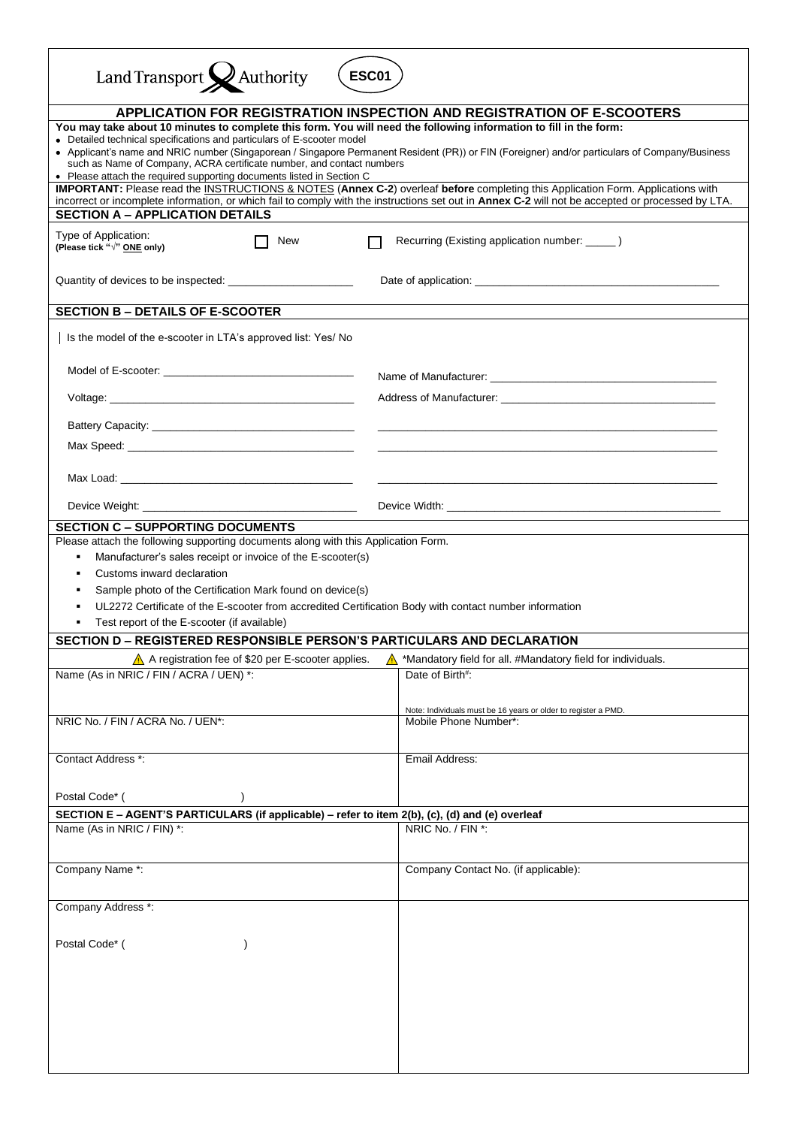| Land Transport X Authority<br><b>ESC01</b>                                                                                                                                                                                                                                                                                                                                                                                                                                                              |                                                                                                                                                   |  |  |  |  |
|---------------------------------------------------------------------------------------------------------------------------------------------------------------------------------------------------------------------------------------------------------------------------------------------------------------------------------------------------------------------------------------------------------------------------------------------------------------------------------------------------------|---------------------------------------------------------------------------------------------------------------------------------------------------|--|--|--|--|
|                                                                                                                                                                                                                                                                                                                                                                                                                                                                                                         |                                                                                                                                                   |  |  |  |  |
| <b>APPLICATION FOR REGISTRATION INSPECTION AND REGISTRATION OF E-SCOOTERS</b><br>You may take about 10 minutes to complete this form. You will need the following information to fill in the form:<br>• Detailed technical specifications and particulars of E-scooter model<br>• Applicant's name and NRIC number (Singaporean / Singapore Permanent Resident (PR)) or FIN (Foreigner) and/or particulars of Company/Business<br>such as Name of Company, ACRA certificate number, and contact numbers |                                                                                                                                                   |  |  |  |  |
| • Please attach the required supporting documents listed in Section C<br>IMPORTANT: Please read the INSTRUCTIONS & NOTES (Annex C-2) overleaf before completing this Application Form. Applications with                                                                                                                                                                                                                                                                                                |                                                                                                                                                   |  |  |  |  |
|                                                                                                                                                                                                                                                                                                                                                                                                                                                                                                         | incorrect or incomplete information, or which fail to comply with the instructions set out in Annex C-2 will not be accepted or processed by LTA. |  |  |  |  |
| <b>SECTION A - APPLICATION DETAILS</b>                                                                                                                                                                                                                                                                                                                                                                                                                                                                  |                                                                                                                                                   |  |  |  |  |
| Type of Application:<br>New<br>(Please tick "√" ONE only)                                                                                                                                                                                                                                                                                                                                                                                                                                               | Recurring (Existing application number: ______ )                                                                                                  |  |  |  |  |
|                                                                                                                                                                                                                                                                                                                                                                                                                                                                                                         |                                                                                                                                                   |  |  |  |  |
| <b>SECTION B - DETAILS OF E-SCOOTER</b>                                                                                                                                                                                                                                                                                                                                                                                                                                                                 |                                                                                                                                                   |  |  |  |  |
| Is the model of the e-scooter in LTA's approved list: Yes/ No                                                                                                                                                                                                                                                                                                                                                                                                                                           |                                                                                                                                                   |  |  |  |  |
|                                                                                                                                                                                                                                                                                                                                                                                                                                                                                                         |                                                                                                                                                   |  |  |  |  |
| Voltage: with the contract of the contract of the contract of the contract of the contract of the contract of the contract of the contract of the contract of the contract of the contract of the contract of the contract of                                                                                                                                                                                                                                                                           | Address of Manufacturer: National Property of Manufacturer:                                                                                       |  |  |  |  |
|                                                                                                                                                                                                                                                                                                                                                                                                                                                                                                         |                                                                                                                                                   |  |  |  |  |
|                                                                                                                                                                                                                                                                                                                                                                                                                                                                                                         |                                                                                                                                                   |  |  |  |  |
|                                                                                                                                                                                                                                                                                                                                                                                                                                                                                                         |                                                                                                                                                   |  |  |  |  |
|                                                                                                                                                                                                                                                                                                                                                                                                                                                                                                         |                                                                                                                                                   |  |  |  |  |
| <b>SECTION C - SUPPORTING DOCUMENTS</b>                                                                                                                                                                                                                                                                                                                                                                                                                                                                 |                                                                                                                                                   |  |  |  |  |
| Please attach the following supporting documents along with this Application Form.<br>Manufacturer's sales receipt or invoice of the E-scooter(s)<br>٠<br>Customs inward declaration<br>٠<br>Sample photo of the Certification Mark found on device(s)<br>UL2272 Certificate of the E-scooter from accredited Certification Body with contact number information                                                                                                                                        |                                                                                                                                                   |  |  |  |  |
| Test report of the E-scooter (if available)                                                                                                                                                                                                                                                                                                                                                                                                                                                             |                                                                                                                                                   |  |  |  |  |
| SECTION D - REGISTERED RESPONSIBLE PERSON'S PARTICULARS AND DECLARATION                                                                                                                                                                                                                                                                                                                                                                                                                                 |                                                                                                                                                   |  |  |  |  |
| A A registration fee of \$20 per E-scooter applies.                                                                                                                                                                                                                                                                                                                                                                                                                                                     | *Mandatory field for all. #Mandatory field for individuals.                                                                                       |  |  |  |  |
| Name (As in NRIC / FIN / ACRA / UEN) *:                                                                                                                                                                                                                                                                                                                                                                                                                                                                 | Date of Birth#:                                                                                                                                   |  |  |  |  |
| NRIC No. / FIN / ACRA No. / UEN*:                                                                                                                                                                                                                                                                                                                                                                                                                                                                       | Note: Individuals must be 16 years or older to register a PMD.<br>Mobile Phone Number*:                                                           |  |  |  |  |
|                                                                                                                                                                                                                                                                                                                                                                                                                                                                                                         |                                                                                                                                                   |  |  |  |  |
| Contact Address *:                                                                                                                                                                                                                                                                                                                                                                                                                                                                                      | Email Address:                                                                                                                                    |  |  |  |  |
| Postal Code* (                                                                                                                                                                                                                                                                                                                                                                                                                                                                                          |                                                                                                                                                   |  |  |  |  |
| SECTION E - AGENT'S PARTICULARS (if applicable) - refer to item 2(b), (c), (d) and (e) overleaf                                                                                                                                                                                                                                                                                                                                                                                                         |                                                                                                                                                   |  |  |  |  |
| Name (As in NRIC / FIN) *:                                                                                                                                                                                                                                                                                                                                                                                                                                                                              | NRIC No. / FIN *:                                                                                                                                 |  |  |  |  |
| Company Name *:                                                                                                                                                                                                                                                                                                                                                                                                                                                                                         | Company Contact No. (if applicable):                                                                                                              |  |  |  |  |
| Company Address *:                                                                                                                                                                                                                                                                                                                                                                                                                                                                                      |                                                                                                                                                   |  |  |  |  |
| Postal Code* (                                                                                                                                                                                                                                                                                                                                                                                                                                                                                          |                                                                                                                                                   |  |  |  |  |
|                                                                                                                                                                                                                                                                                                                                                                                                                                                                                                         |                                                                                                                                                   |  |  |  |  |
|                                                                                                                                                                                                                                                                                                                                                                                                                                                                                                         |                                                                                                                                                   |  |  |  |  |
|                                                                                                                                                                                                                                                                                                                                                                                                                                                                                                         |                                                                                                                                                   |  |  |  |  |
|                                                                                                                                                                                                                                                                                                                                                                                                                                                                                                         |                                                                                                                                                   |  |  |  |  |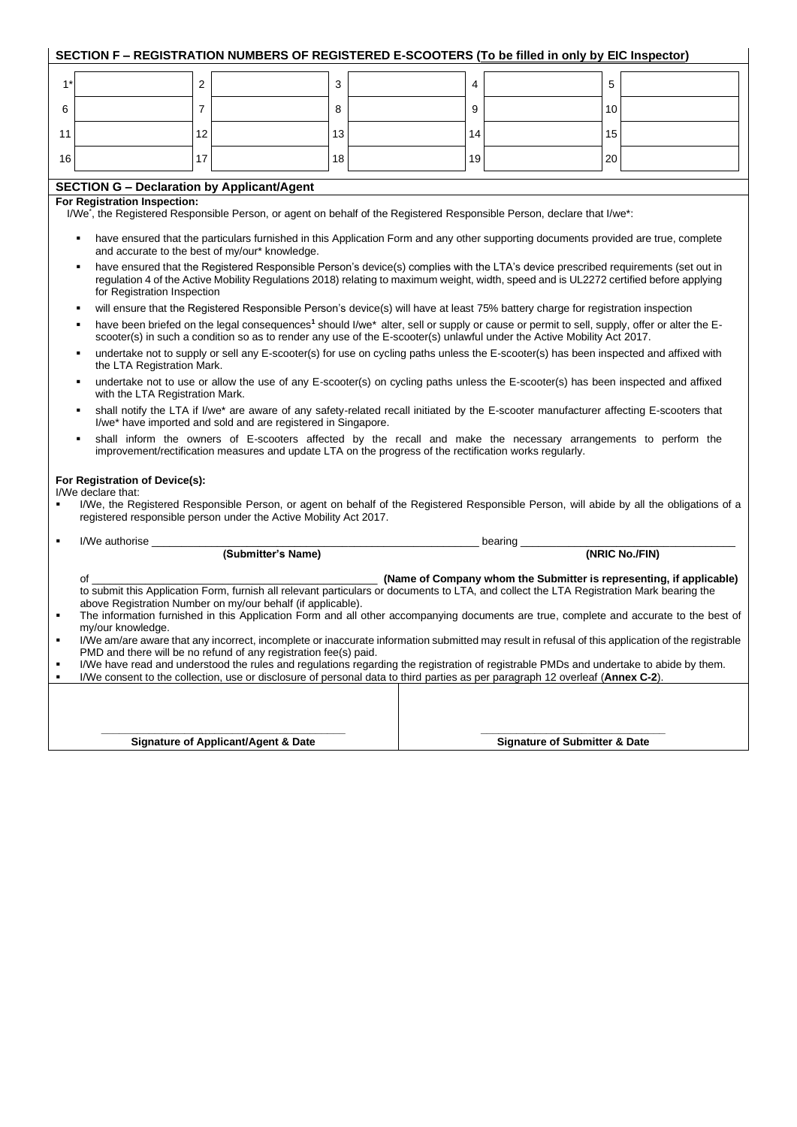|                | SECTION F - REGISTRATION NUMBERS OF REGISTERED E-SCOOTERS (To be filled in only by EIC Inspector)                                                                                                                                                                                                                                                             |                                                                                                                                     |    |  |    |                                          |    |                                                                     |
|----------------|---------------------------------------------------------------------------------------------------------------------------------------------------------------------------------------------------------------------------------------------------------------------------------------------------------------------------------------------------------------|-------------------------------------------------------------------------------------------------------------------------------------|----|--|----|------------------------------------------|----|---------------------------------------------------------------------|
| $1^*$          | 2                                                                                                                                                                                                                                                                                                                                                             |                                                                                                                                     | 3  |  | 4  |                                          | 5  |                                                                     |
| 6              | 7                                                                                                                                                                                                                                                                                                                                                             |                                                                                                                                     | 8  |  | 9  |                                          | 10 |                                                                     |
| 11             | 12                                                                                                                                                                                                                                                                                                                                                            |                                                                                                                                     | 13 |  | 14 |                                          | 15 |                                                                     |
| 16             | 17                                                                                                                                                                                                                                                                                                                                                            |                                                                                                                                     | 18 |  | 19 |                                          | 20 |                                                                     |
|                |                                                                                                                                                                                                                                                                                                                                                               |                                                                                                                                     |    |  |    |                                          |    |                                                                     |
|                | <b>SECTION G - Declaration by Applicant/Agent</b><br>For Registration Inspection:<br>I/We', the Registered Responsible Person, or agent on behalf of the Registered Responsible Person, declare that I/we*:                                                                                                                                                   |                                                                                                                                     |    |  |    |                                          |    |                                                                     |
|                | $\blacksquare$<br>and accurate to the best of my/our* knowledge.                                                                                                                                                                                                                                                                                              | have ensured that the particulars furnished in this Application Form and any other supporting documents provided are true, complete |    |  |    |                                          |    |                                                                     |
|                | have ensured that the Registered Responsible Person's device(s) complies with the LTA's device prescribed requirements (set out in<br>$\blacksquare$<br>regulation 4 of the Active Mobility Regulations 2018) relating to maximum weight, width, speed and is UL2272 certified before applying<br>for Registration Inspection                                 |                                                                                                                                     |    |  |    |                                          |    |                                                                     |
|                |                                                                                                                                                                                                                                                                                                                                                               | will ensure that the Registered Responsible Person's device(s) will have at least 75% battery charge for registration inspection    |    |  |    |                                          |    |                                                                     |
|                | have been briefed on the legal consequences <sup>1</sup> should I/we* alter, sell or supply or cause or permit to sell, supply, offer or alter the E-<br>٠<br>scooter(s) in such a condition so as to render any use of the E-scooter(s) unlawful under the Active Mobility Act 2017.                                                                         |                                                                                                                                     |    |  |    |                                          |    |                                                                     |
|                | undertake not to supply or sell any E-scooter(s) for use on cycling paths unless the E-scooter(s) has been inspected and affixed with<br>٠<br>the LTA Registration Mark.                                                                                                                                                                                      |                                                                                                                                     |    |  |    |                                          |    |                                                                     |
|                | undertake not to use or allow the use of any E-scooter(s) on cycling paths unless the E-scooter(s) has been inspected and affixed<br>٠<br>with the LTA Registration Mark.                                                                                                                                                                                     |                                                                                                                                     |    |  |    |                                          |    |                                                                     |
|                | shall notify the LTA if I/we* are aware of any safety-related recall initiated by the E-scooter manufacturer affecting E-scooters that<br>٠<br>I/we* have imported and sold and are registered in Singapore.                                                                                                                                                  |                                                                                                                                     |    |  |    |                                          |    |                                                                     |
|                | shall inform the owners of E-scooters affected by the recall and make the necessary arrangements to perform the<br>٠<br>improvement/rectification measures and update LTA on the progress of the rectification works regularly.                                                                                                                               |                                                                                                                                     |    |  |    |                                          |    |                                                                     |
|                | For Registration of Device(s):                                                                                                                                                                                                                                                                                                                                |                                                                                                                                     |    |  |    |                                          |    |                                                                     |
|                | I/We declare that:<br>I/We, the Registered Responsible Person, or agent on behalf of the Registered Responsible Person, will abide by all the obligations of a<br>registered responsible person under the Active Mobility Act 2017.                                                                                                                           |                                                                                                                                     |    |  |    |                                          |    |                                                                     |
| $\blacksquare$ | I/We authorise                                                                                                                                                                                                                                                                                                                                                |                                                                                                                                     |    |  |    | bearing ___                              |    |                                                                     |
|                |                                                                                                                                                                                                                                                                                                                                                               | (Submitter's Name)                                                                                                                  |    |  |    |                                          |    | (NRIC No./FIN)                                                      |
|                | of                                                                                                                                                                                                                                                                                                                                                            |                                                                                                                                     |    |  |    |                                          |    | (Name of Company whom the Submitter is representing, if applicable) |
| $\blacksquare$ | to submit this Application Form, furnish all relevant particulars or documents to LTA, and collect the LTA Registration Mark bearing the<br>above Registration Number on my/our behalf (if applicable).<br>The information furnished in this Application Form and all other accompanying documents are true, complete and accurate to the best of             |                                                                                                                                     |    |  |    |                                          |    |                                                                     |
|                | my/our knowledge.<br>I/We am/are aware that any incorrect, incomplete or inaccurate information submitted may result in refusal of this application of the registrable                                                                                                                                                                                        |                                                                                                                                     |    |  |    |                                          |    |                                                                     |
| $\blacksquare$ | PMD and there will be no refund of any registration fee(s) paid.<br>I/We have read and understood the rules and regulations regarding the registration of registrable PMDs and undertake to abide by them.<br>I/We consent to the collection, use or disclosure of personal data to third parties as per paragraph 12 overleaf (Annex C-2).<br>$\blacksquare$ |                                                                                                                                     |    |  |    |                                          |    |                                                                     |
|                |                                                                                                                                                                                                                                                                                                                                                               |                                                                                                                                     |    |  |    |                                          |    |                                                                     |
|                |                                                                                                                                                                                                                                                                                                                                                               |                                                                                                                                     |    |  |    |                                          |    |                                                                     |
|                |                                                                                                                                                                                                                                                                                                                                                               | <b>Signature of Applicant/Agent &amp; Date</b>                                                                                      |    |  |    | <b>Signature of Submitter &amp; Date</b> |    |                                                                     |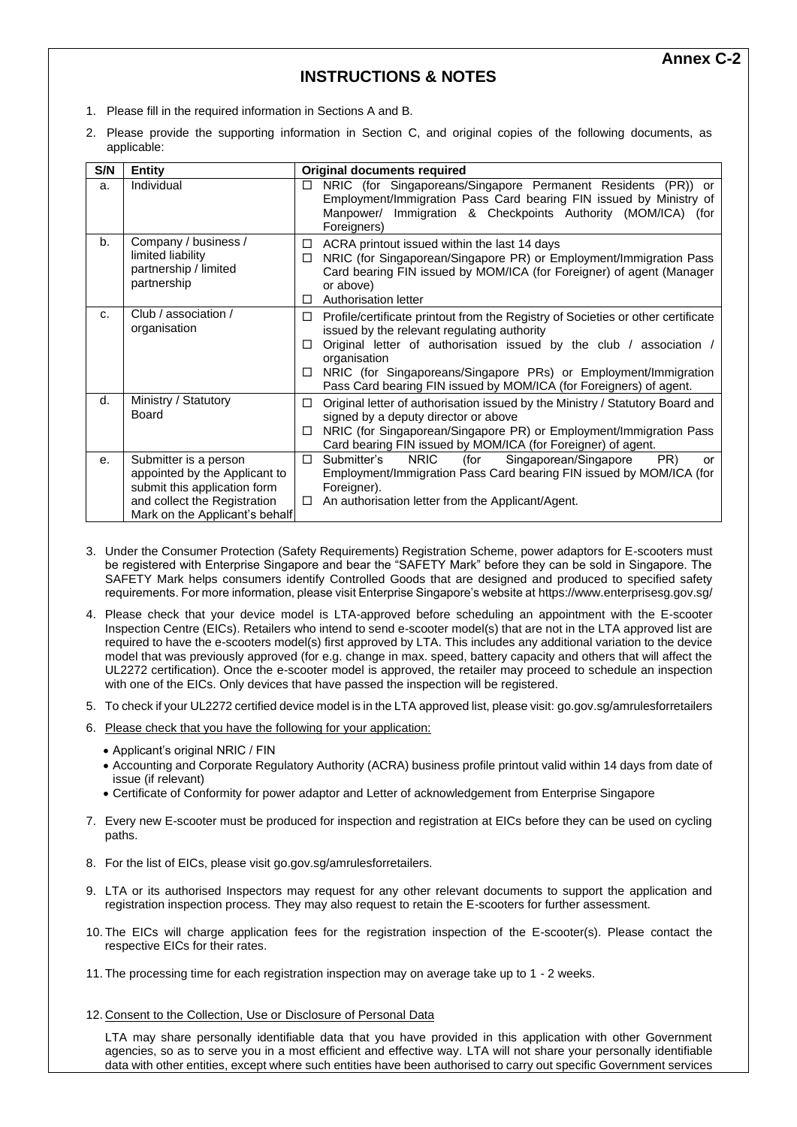## **INSTRUCTIONS & NOTES**

- 1. Please fill in the required information in Sections A and B.
- 2. Please provide the supporting information in Section C, and original copies of the following documents, as applicable:

| S/N | <b>Entity</b>                                                                                                                                            | <b>Original documents required</b>                                                                                                                                                                                                                                                                                                                                             |
|-----|----------------------------------------------------------------------------------------------------------------------------------------------------------|--------------------------------------------------------------------------------------------------------------------------------------------------------------------------------------------------------------------------------------------------------------------------------------------------------------------------------------------------------------------------------|
| a.  | Individual                                                                                                                                               | NRIC (for Singaporeans/Singapore Permanent Residents (PR)) or<br>□<br>Employment/Immigration Pass Card bearing FIN issued by Ministry of<br>Manpower/ Immigration & Checkpoints Authority (MOM/ICA) (for<br>Foreigners)                                                                                                                                                        |
| b.  | Company / business /<br>limited liability<br>partnership / limited<br>partnership                                                                        | ACRA printout issued within the last 14 days<br>□<br>NRIC (for Singaporean/Singapore PR) or Employment/Immigration Pass<br>□<br>Card bearing FIN issued by MOM/ICA (for Foreigner) of agent (Manager<br>or above)<br>Authorisation letter<br>п                                                                                                                                 |
| c.  | Club / association /<br>organisation                                                                                                                     | Profile/certificate printout from the Registry of Societies or other certificate<br>□<br>issued by the relevant regulating authority<br>Original letter of authorisation issued by the club / association /<br>□<br>organisation<br>NRIC (for Singaporeans/Singapore PRs) or Employment/Immigration<br>П<br>Pass Card bearing FIN issued by MOM/ICA (for Foreigners) of agent. |
| d.  | Ministry / Statutory<br><b>Board</b>                                                                                                                     | Original letter of authorisation issued by the Ministry / Statutory Board and<br>п<br>signed by a deputy director or above<br>NRIC (for Singaporean/Singapore PR) or Employment/Immigration Pass<br>□<br>Card bearing FIN issued by MOM/ICA (for Foreigner) of agent.                                                                                                          |
| е.  | Submitter is a person<br>appointed by the Applicant to<br>submit this application form<br>and collect the Registration<br>Mark on the Applicant's behalf | <b>NRIC</b><br>Submitter's<br>Singaporean/Singapore<br>PR)<br>(for<br>□<br>or<br>Employment/Immigration Pass Card bearing FIN issued by MOM/ICA (for<br>Foreigner).<br>An authorisation letter from the Applicant/Agent.<br>$\Box$                                                                                                                                             |

- 3. Under the Consumer Protection (Safety Requirements) Registration Scheme, power adaptors for E-scooters must be registered with Enterprise Singapore and bear the "SAFETY Mark" before they can be sold in Singapore. The SAFETY Mark helps consumers identify Controlled Goods that are designed and produced to specified safety requirements. For more information, please visit Enterprise Singapore's website a[t https://www.enterprisesg.gov.sg/](https://www.enterprisesg.gov.sg/)
- 4. Please check that your device model is LTA-approved before scheduling an appointment with the E-scooter Inspection Centre (EICs). Retailers who intend to send e-scooter model(s) that are not in the LTA approved list are required to have the e-scooters model(s) first approved by LTA. This includes any additional variation to the device model that was previously approved (for e.g. change in max. speed, battery capacity and others that will affect the UL2272 certification). Once the e-scooter model is approved, the retailer may proceed to schedule an inspection with one of the EICs. Only devices that have passed the inspection will be registered.
- 5. To check if your UL2272 certified device model is in the LTA approved list, please visit: go.gov.sg/amrulesforretailers
- 6. Please check that you have the following for your application:
	- Applicant's original NRIC / FIN
	- Accounting and Corporate Regulatory Authority (ACRA) business profile printout valid within 14 days from date of issue (if relevant)
	- Certificate of Conformity for power adaptor and Letter of acknowledgement from Enterprise Singapore
- 7. Every new E-scooter must be produced for inspection and registration at EICs before they can be used on cycling paths.
- 8. For the list of EICs, please visit go.gov.sg/amrulesforretailers.
- 9. LTA or its authorised Inspectors may request for any other relevant documents to support the application and registration inspection process. They may also request to retain the E-scooters for further assessment.
- 10. The EICs will charge application fees for the registration inspection of the E-scooter(s). Please contact the respective EICs for their rates.
- 11. The processing time for each registration inspection may on average take up to 1 2 weeks.
- 12. Consent to the Collection, Use or Disclosure of Personal Data

LTA may share personally identifiable data that you have provided in this application with other Government agencies, so as to serve you in a most efficient and effective way. LTA will not share your personally identifiable data with other entities, except where such entities have been authorised to carry out specific Government services